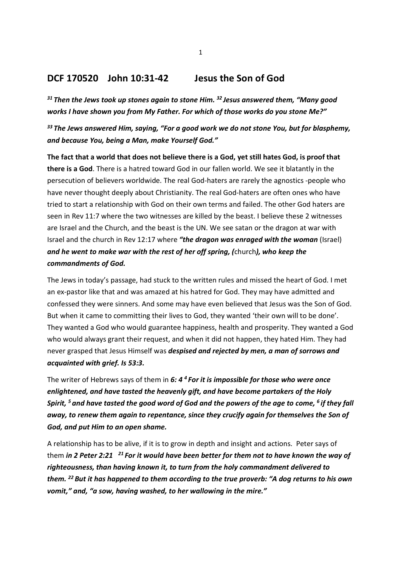## DCF 170520 John 10:31-42 Jesus the Son of God

 $31$  Then the Jews took up stones again to stone Him.  $32$  Jesus answered them, "Many good works I have shown you from My Father. For which of those works do you stone Me?"

<sup>33</sup> The Jews answered Him, saying, "For a good work we do not stone You, but for blasphemy, and because You, being a Man, make Yourself God."

The fact that a world that does not believe there is a God, yet still hates God, is proof that there is a God. There is a hatred toward God in our fallen world. We see it blatantly in the persecution of believers worldwide. The real God-haters are rarely the agnostics -people who have never thought deeply about Christianity. The real God-haters are often ones who have tried to start a relationship with God on their own terms and failed. The other God haters are seen in Rev 11:7 where the two witnesses are killed by the beast. I believe these 2 witnesses are Israel and the Church, and the beast is the UN. We see satan or the dragon at war with Israel and the church in Rev 12:17 where "the dragon was enraged with the woman (Israel) and he went to make war with the rest of her off spring, (church), who keep the commandments of God.

The Jews in today's passage, had stuck to the written rules and missed the heart of God. I met an ex-pastor like that and was amazed at his hatred for God. They may have admitted and confessed they were sinners. And some may have even believed that Jesus was the Son of God. But when it came to committing their lives to God, they wanted 'their own will to be done'. They wanted a God who would guarantee happiness, health and prosperity. They wanted a God who would always grant their request, and when it did not happen, they hated Him. They had never grasped that Jesus Himself was *despised and rejected by men, a man of sorrows and* acquainted with grief. Is 53:3.

The writer of Hebrews says of them in 6:  $4<sup>4</sup>$  For it is impossible for those who were once enlightened, and have tasted the heavenly gift, and have become partakers of the Holy Spirit,  $5$  and have tasted the good word of God and the powers of the gae to come,  $6$  if they fall away, to renew them again to repentance, since they crucify again for themselves the Son of God, and put Him to an open shame.

A relationship has to be alive, if it is to grow in depth and insight and actions. Peter says of them in 2 Peter 2:21  $^{21}$  For it would have been better for them not to have known the way of righteousness, than having known it, to turn from the holy commandment delivered to them. <sup>22</sup> But it has happened to them according to the true proverb: "A dog returns to his own vomit," and, "a sow, having washed, to her wallowing in the mire."

1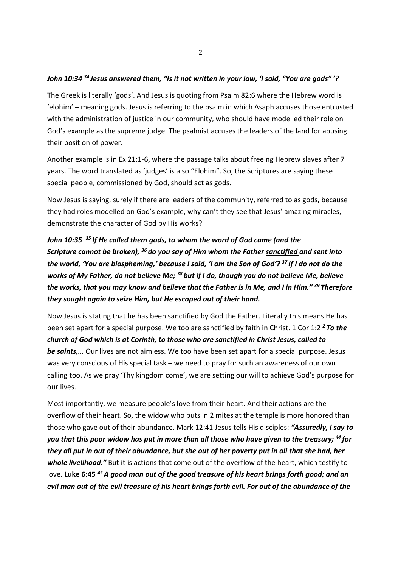### John 10:34 <sup>34</sup> Jesus answered them. "Is it not written in your law, 'I said, "You are gods" '?

The Greek is literally 'gods'. And Jesus is quoting from Psalm 82:6 where the Hebrew word is 'elohim' – meaning gods. Jesus is referring to the psalm in which Asaph accuses those entrusted with the administration of justice in our community, who should have modelled their role on God's example as the supreme judge. The psalmist accuses the leaders of the land for abusing their position of power.

Another example is in Ex 21:1-6, where the passage talks about freeing Hebrew slaves after 7 years. The word translated as 'judges' is also "Elohim". So, the Scriptures are saying these special people, commissioned by God, should act as gods.

Now Jesus is saying, surely if there are leaders of the community, referred to as gods, because they had roles modelled on God's example, why can't they see that Jesus' amazing miracles, demonstrate the character of God by His works?

# John 10:35  $35$  If He called them gods, to whom the word of God came (and the Scripture cannot be broken),  $36$  do you say of Him whom the Father sanctified and sent into the world, 'You are blaspheming,' because I said, 'I am the Son of God'?<sup>37</sup> If I do not do the works of My Father, do not believe Me;  $38$  but if I do, though you do not believe Me, believe the works, that you may know and believe that the Father is in Me, and I in Him."  $39$  Therefore they sought again to seize Him, but He escaped out of their hand.

Now Jesus is stating that he has been sanctified by God the Father. Literally this means He has been set apart for a special purpose. We too are sanctified by faith in Christ. 1 Cor 1:2<sup>2</sup> To the church of God which is at Corinth, to those who are sanctified in Christ Jesus, called to be saints,... Our lives are not aimless. We too have been set apart for a special purpose. Jesus was very conscious of His special task – we need to pray for such an awareness of our own calling too. As we pray 'Thy kingdom come', we are setting our will to achieve God's purpose for our lives.

Most importantly, we measure people's love from their heart. And their actions are the overflow of their heart. So, the widow who puts in 2 mites at the temple is more honored than those who gave out of their abundance. Mark 12:41 Jesus tells His disciples: "Assuredly, I say to you that this poor widow has put in more than all those who have given to the treasury; <sup>44</sup> for they all put in out of their abundance, but she out of her poverty put in all that she had, her whole livelihood." But it is actions that come out of the overflow of the heart, which testify to love. Luke 6:45  $45$  A good man out of the good treasure of his heart brings forth good; and an evil man out of the evil treasure of his heart brings forth evil. For out of the abundance of the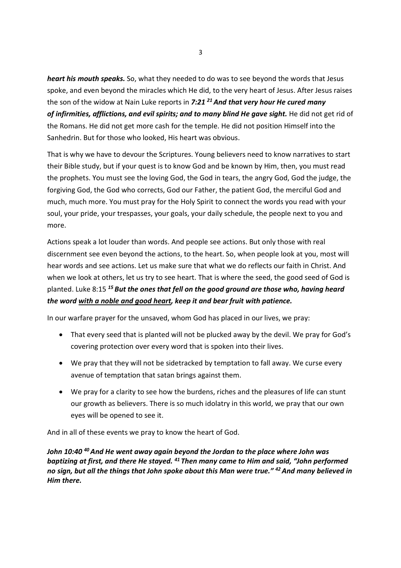heart his mouth speaks. So, what they needed to do was to see beyond the words that Jesus spoke, and even beyond the miracles which He did, to the very heart of Jesus. After Jesus raises the son of the widow at Nain Luke reports in 7:21  $^{21}$  And that very hour He cured many of infirmities, afflictions, and evil spirits; and to many blind He gave sight. He did not get rid of the Romans. He did not get more cash for the temple. He did not position Himself into the Sanhedrin. But for those who looked, His heart was obvious.

That is why we have to devour the Scriptures. Young believers need to know narratives to start their Bible study, but if your quest is to know God and be known by Him, then, you must read the prophets. You must see the loving God, the God in tears, the angry God, God the judge, the forgiving God, the God who corrects, God our Father, the patient God, the merciful God and much, much more. You must pray for the Holy Spirit to connect the words you read with your soul, your pride, your trespasses, your goals, your daily schedule, the people next to you and more.

Actions speak a lot louder than words. And people see actions. But only those with real discernment see even beyond the actions, to the heart. So, when people look at you, most will hear words and see actions. Let us make sure that what we do reflects our faith in Christ. And when we look at others, let us try to see heart. That is where the seed, the good seed of God is planted. Luke 8:15<sup>15</sup> But the ones that fell on the good ground are those who, having heard the word with a noble and good heart, keep it and bear fruit with patience.

In our warfare prayer for the unsaved, whom God has placed in our lives, we pray:

- That every seed that is planted will not be plucked away by the devil. We pray for God's covering protection over every word that is spoken into their lives.
- We pray that they will not be sidetracked by temptation to fall away. We curse every avenue of temptation that satan brings against them.
- We pray for a clarity to see how the burdens, riches and the pleasures of life can stunt our growth as believers. There is so much idolatry in this world, we pray that our own eyes will be opened to see it.

And in all of these events we pray to know the heart of God.

John 10:40  $^{40}$  And He went away again beyond the Jordan to the place where John was baptizing at first, and there He stayed.  $41$  Then many came to Him and said, "John performed no sign, but all the things that John spoke about this Man were true." <sup>42</sup> And many believed in Him there.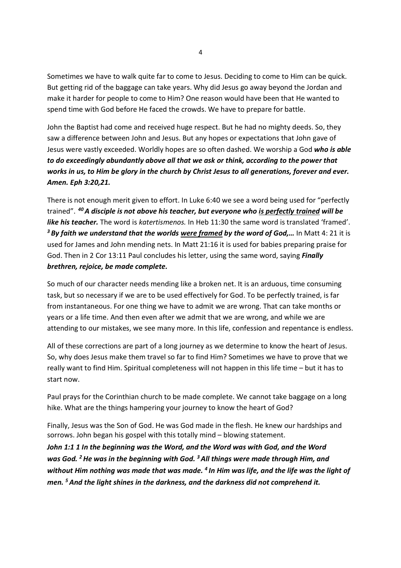Sometimes we have to walk quite far to come to Jesus. Deciding to come to Him can be quick. But getting rid of the baggage can take years. Why did Jesus go away beyond the Jordan and make it harder for people to come to Him? One reason would have been that He wanted to spend time with God before He faced the crowds. We have to prepare for battle.

John the Baptist had come and received huge respect. But he had no mighty deeds. So, they saw a difference between John and Jesus. But any hopes or expectations that John gave of Jesus were vastly exceeded. Worldly hopes are so often dashed. We worship a God who is able to do exceedingly abundantly above all that we ask or think, according to the power that works in us, to Him be glory in the church by Christ Jesus to all generations, forever and ever. Amen. Eph 3:20,21.

There is not enough merit given to effort. In Luke 6:40 we see a word being used for "perfectly trained". <sup>40</sup>A disciple is not above his teacher, but everyone who is perfectly trained will be like his teacher. The word is katertismenos. In Heb 11:30 the same word is translated 'framed'.  $3$  By faith we understand that the worlds were framed by the word of God,... In Matt 4: 21 it is used for James and John mending nets. In Matt 21:16 it is used for babies preparing praise for God. Then in 2 Cor 13:11 Paul concludes his letter, using the same word, saying *Finally* brethren, rejoice, be made complete.

So much of our character needs mending like a broken net. It is an arduous, time consuming task, but so necessary if we are to be used effectively for God. To be perfectly trained, is far from instantaneous. For one thing we have to admit we are wrong. That can take months or years or a life time. And then even after we admit that we are wrong, and while we are attending to our mistakes, we see many more. In this life, confession and repentance is endless.

All of these corrections are part of a long journey as we determine to know the heart of Jesus. So, why does Jesus make them travel so far to find Him? Sometimes we have to prove that we really want to find Him. Spiritual completeness will not happen in this life time – but it has to start now.

Paul prays for the Corinthian church to be made complete. We cannot take baggage on a long hike. What are the things hampering your journey to know the heart of God?

Finally, Jesus was the Son of God. He was God made in the flesh. He knew our hardships and sorrows. John began his gospel with this totally mind – blowing statement.

John 1:1 1 In the beginning was the Word, and the Word was with God, and the Word was God. <sup>2</sup> He was in the beginning with God.  $3$  All things were made through Him, and without Him nothing was made that was made. <sup>4</sup> In Him was life, and the life was the light of men. <sup>5</sup> And the light shines in the darkness, and the darkness did not comprehend it.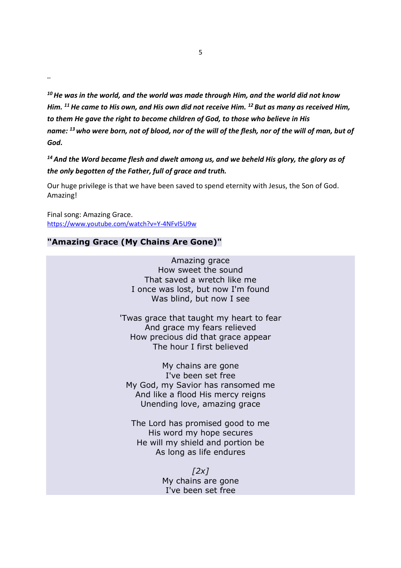$10$  He was in the world, and the world was made through Him, and the world did not know Him.  $11$  He came to His own, and His own did not receive Him.  $12$  But as many as received Him, to them He gave the right to become children of God, to those who believe in His name: <sup>13</sup> who were born, not of blood, nor of the will of the flesh, nor of the will of man, but of God.

 $14$  And the Word became flesh and dwelt among us, and we beheld His glory, the glory as of the only begotten of the Father, full of grace and truth.

Our huge privilege is that we have been saved to spend eternity with Jesus, the Son of God. Amazing!

Final song: Amazing Grace. https://www.youtube.com/watch?v=Y-4NFvI5U9w

…

## "Amazing Grace (My Chains Are Gone)"

Amazing grace How sweet the sound That saved a wretch like me I once was lost, but now I'm found Was blind, but now I see

'Twas grace that taught my heart to fear And grace my fears relieved How precious did that grace appear The hour I first believed

My chains are gone I've been set free My God, my Savior has ransomed me And like a flood His mercy reigns Unending love, amazing grace

The Lord has promised good to me His word my hope secures He will my shield and portion be As long as life endures

> $[2x]$ My chains are gone I've been set free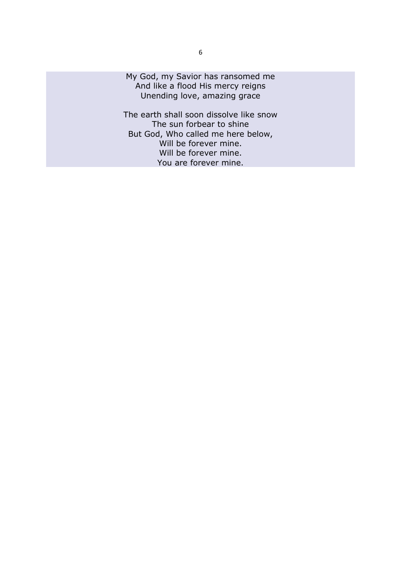My God, my Savior has ransomed me And like a flood His mercy reigns Unending love, amazing grace

The earth shall soon dissolve like snow The sun forbear to shine But God, Who called me here below, Will be forever mine. Will be forever mine. You are forever mine.